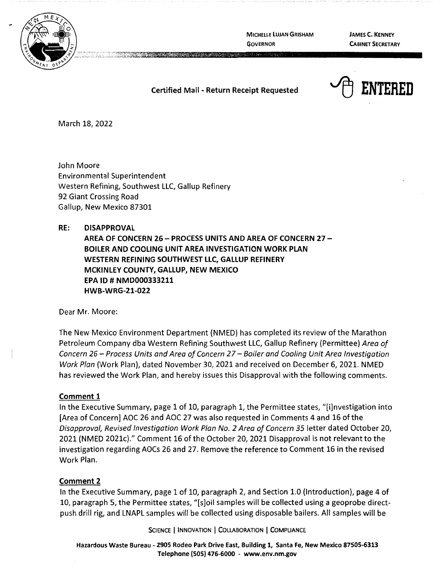

**MICHELLE LUJAN GRISHAM GOVERNOR** 

**JAMES C. KENNEY CABINET SECRETARY** 

### **Certified Mail - Return Receipt Requested**



March 18, 2022

John Moore Environmental Superintendent Western Refining, Southwest LLC, Gallup Refinery 92 Giant Crossing Road Gallup, New Mexico 87301

### **RE: DISAPPROVAL**

**AREA OF CONCERN 26** - **PROCESS UNITS AND AREA OF CONCERN 27** - **BOILER AND COOLING UNIT AREA INVESTIGATION WORK PLAN WESTERN REFINING SOUTHWEST LLC, GALLUP REFINERY MCKINLEY COUNTY, GALLUP, NEW MEXICO EPA** ID# **NMD000333211 HWB-WRG-21-022** 

Dear Mr. Moore:

The New Mexico Environment Department (NMED) has completed its review of the Marathon Petroleum Company dba Western Refining Southwest LLC, Gallup Refinery (Permittee) Area of Concern 26- Process Units and Area of Concern 27- Boiler and Cooling Unit Area Investigation Work Plan (Work Plan), dated November 30, 2021 and received on December 6, 2021. NMED has reviewed the Work Plan, and hereby issues this Disapproval with the following comments.

### **Comment 1**

In the Executive Summary, page 1 of 10, paragraph 1, the Permittee states, "[i]nvestigation into [Area of Concern] AOC 26 and AOC 27 was also requested in Comments 4 and 16 of the Disapproval, Revised Investigation Work Plan No. 2 Area of Concern 35 letter dated October 20, 2021 (NMED 2021c)." Comment 16 of the October 20, 2021 Disapproval is not relevant to the investigation regarding AOCs 26 and 27. Remove the reference to Comment 16 in the revised Work Plan.

### **Comment 2**

In the Executive Summary, page 1 of 10, paragraph 2, and Section 1.0 (Introduction), page 4 of 10, paragraph 5, the Permittee states, "[s]oil samples will be collected using a geoprobe directpush drill rig, and LNAPL samples will be collected using disposable bailers. All samples will be

SCIENCE | INNOVATION | COLLABORATION | COMPLIANCE

**Hazardous Waste Bureau** - **2905 Rodeo Park Drive East, Building 1, Santa Fe, New Mexico 87505-6313 Telephone (SOS) 476-6000** - **www.env.nm.gov**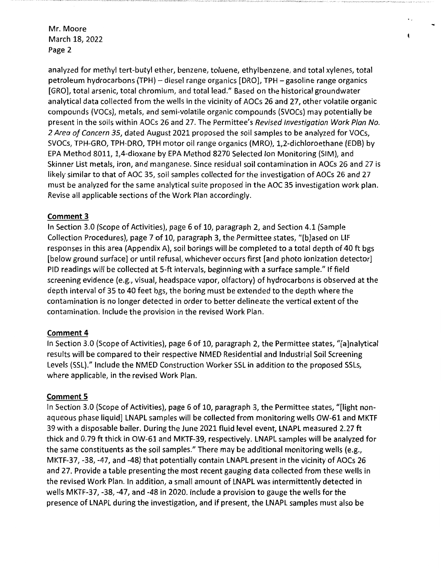Mr. Moore March 18, 2022 Page 2

analyzed for methyl tert-butyl ether, benzene, toluene, ethylbenzene, and total xylenes, total petroleum hydrocarbons (TPH) - diesel range organics [DRO], TPH - gasoline range organics [GRO], total arsenic, total chromium, and total lead." Based on the historical groundwater analytical data collected from the wells in the vicinity of AOCs 26 and 27, other volatile organic compounds (VOCs), metals, and semi-volatile organic compounds (SVOCs) may potentially be present in the soils within AOCs 26 and 27. The Permittee's Revised Investigation Work Plan No. 2 Area of Concern 35, dated August 2021 proposed the soil samples to be analyzed for VOCs, SVOCs, TPH-GRO, TPH-DRO, TPH motor oil range organics (MRO), 1,2-dichloroethane (EDB) by EPA Method 8011, 1,4-dioxane by EPA Method 8270 Selected Ion Monitoring (SIM), and Skinner List metals, iron, and manganese. Since residual soil contamination in AOCs 26 and 27 is likely similar to that of AOC 35, soil samples collected for the investigation of AOCs 26 and 27 must be analyzed for the same analytical suite proposed in the AOC 35 investigation work plan. Revise all applicable sections of the Work Plan accordingly.

 $\ddot{\phantom{0}}$ 

# **Comment 3**

In Section 3.0 (Scope of Activities), page 6 of 10, paragraph 2, and Section 4.1 (Sample Collection Procedures), page 7 of 10, paragraph 3, the Permittee states, "[b]ased on LIF responses in this area (Appendix A), soil borings will be completed to a total depth of 40 ft bgs [below ground surface] or until refusal, whichever occurs first [and photo ionization detector] PID readings will be collected at 5-ft intervals, beginning with a surface sample." If field screening evidence (e.g., visual, headspace vapor, olfactory) of hydrocarbons is observed at the depth interval of 35 to 40 feet bgs, the boring must be extended to the depth where the contamination is no longer detected in order to better delineate the vertical extent of the contamination. Include the provision in the revised Work Plan.

## **Comment 4**

In Section 3.0 (Scope of Activities), page 6 of 10, paragraph 2, the Permittee states, "[a]nalytical results will be compared to their respective NMED Residential and Industrial Soil Screening Levels (SSL)." Include the NMED Construction Worker SSL in addition to the proposed SSLs, where applicable, in the revised Work Plan.

## **Comment 5**

In Section 3.0 (Scope of Activities), page 6 of 10, paragraph 3, the Permittee states, "[light nonaqueous phase liquid] LNAPL samples will be collected from monitoring wells OW-61 and MKTF 39 with a disposable bailer. During the June 2021 fluid level event, LNAPL measured 2.27 ft thick and 0. 79 ft thick in OW-61 and MKTF-39, respectively. LNAPL samples will be analyzed for the same constituents as the soil samples." There may be additional monitoring wells (e.g., MKTF-37, -38, -47, and -48) that potentially contain LNAPL present in the vicinity of AOCs 26 and 27. Provide a table presenting the most recent gauging data collected from these wells in the revised Work Plan. In addition, a small amount of LNAPL was intermittently detected in wells MKTF-37, -38, -47, and -48 in 2020. Include a provision to gauge the wells for the presence of LNAPL during the investigation, and if present, the LNAPL samples must also be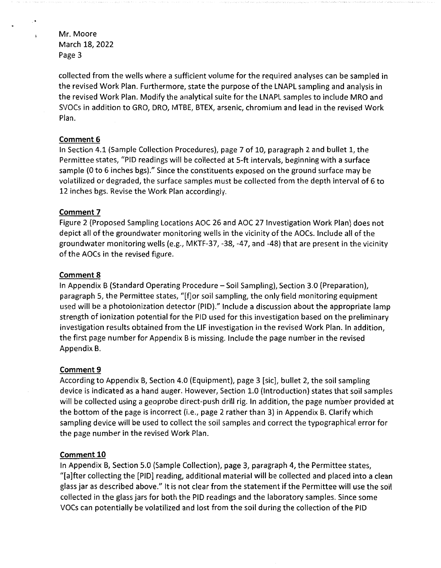Mr. Moore March 18, 2022 Page 3

collected from the wells where a sufficient volume for the required analyses can be sampled in the revised Work Plan. Furthermore, state the purpose of the LNAPL sampling and analysis in the revised Work Plan. Modify the analytical suite for the LNAPL samples to include MRO and SVOCs in addition to GRO, DRO, MTBE, BTEX, arsenic, chromium and lead in the revised Work Plan.

### **Comment 6**

In Section 4.1 (Sample Collection Procedures), page 7 of 10, paragraph 2 and bullet 1, the Permittee states, "PID readings will be collected at 5-ft intervals, beginning with a surface sample (0 to 6 inches bgs)." Since the constituents exposed on the ground surface may be volatilized or degraded, the surface samples must be collected from the depth interval of 6 to 12 inches bgs. Revise the Work Plan accordingly.

### **Comment 7**

Figure 2 (Proposed Sampling Locations AOC 26 and AOC 27 Investigation Work Plan) does not depict all of the groundwater monitoring wells in the vicinity of the AOCs. Include all of the groundwater monitoring wells (e.g., MKTF-37, -38, -47, and -48) that are present in the vicinity of the AOCs in the revised figure.

### **Comment 8**

In Appendix B (Standard Operating Procedure - Soil Sampling), Section 3.0 (Preparation), paragraph 5, the Permittee states, "[f]or soil sampling, the only field monitoring equipment used will be a photoionization detector (PID)." Include a discussion about the appropriate lamp strength of ionization potential for the PID used for this investigation based on the preliminary investigation results obtained from the LIF investigation in the revised Work Plan. In addition, the first page number for Appendix Bis missing. Include the page number in the revised Appendix B.

### **Comment 9**

According to Appendix B, Section 4.0 (Equipment), page 3 [sic], bullet 2, the soil sampling device is indicated as a hand auger. However, Section 1.0 (Introduction) states that soil samples will be collected using a geoprobe direct-push drill rig. In addition, the page number provided at the bottom of the page is incorrect (i.e., page 2 rather than 3) in Appendix B. Clarify which sampling device will be used to collect the soil samples and correct the typographical error for the page number in the revised Work Plan.

### **Comment 10**

In Appendix B, Section 5.0 (Sample Collection), page 3, paragraph 4, the Permittee states, "[a]fter collecting the [PID] reading, additional material will be collected and placed into a clean glass jar as described above." It is not clear from the statement if the Permittee will use the soil collected in the glass jars for both the PID readings and the laboratory samples. Since some VOCs can potentially be volatilized and lost from the soil during the collection of the PID